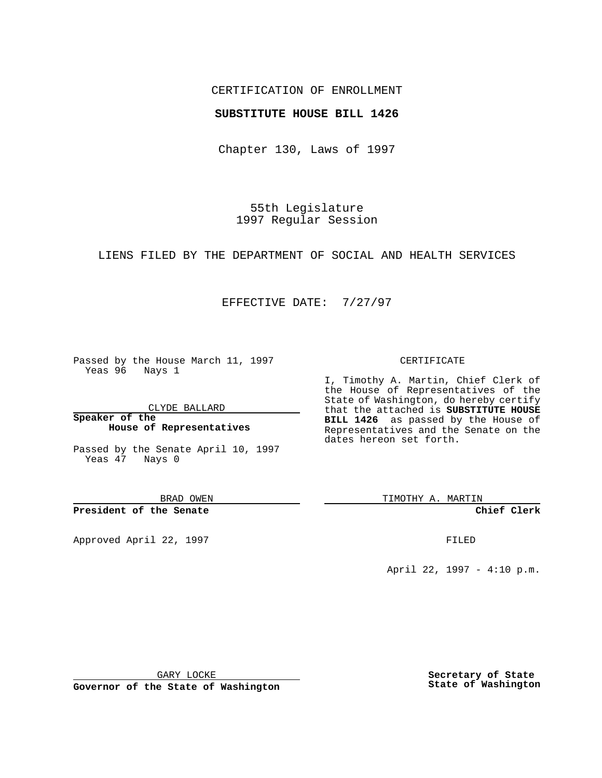## CERTIFICATION OF ENROLLMENT

### **SUBSTITUTE HOUSE BILL 1426**

Chapter 130, Laws of 1997

55th Legislature 1997 Regular Session

LIENS FILED BY THE DEPARTMENT OF SOCIAL AND HEALTH SERVICES

## EFFECTIVE DATE: 7/27/97

Passed by the House March 11, 1997 Yeas 96 Nays 1

CLYDE BALLARD

**Speaker of the House of Representatives**

Passed by the Senate April 10, 1997 Yeas 47 Nays 0

BRAD OWEN

**President of the Senate**

Approved April 22, 1997 **FILED** 

#### CERTIFICATE

I, Timothy A. Martin, Chief Clerk of the House of Representatives of the State of Washington, do hereby certify that the attached is **SUBSTITUTE HOUSE BILL 1426** as passed by the House of Representatives and the Senate on the dates hereon set forth.

TIMOTHY A. MARTIN

**Chief Clerk**

April 22, 1997 - 4:10 p.m.

GARY LOCKE

**Governor of the State of Washington**

**Secretary of State State of Washington**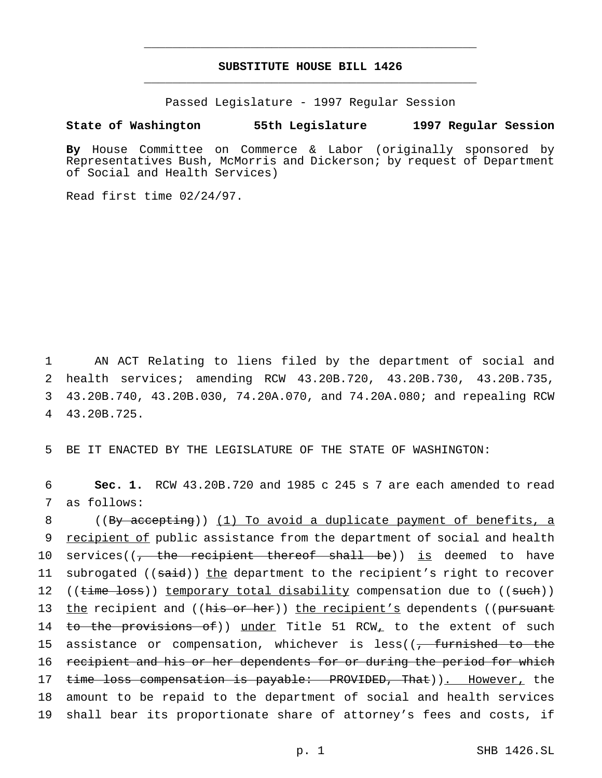# **SUBSTITUTE HOUSE BILL 1426** \_\_\_\_\_\_\_\_\_\_\_\_\_\_\_\_\_\_\_\_\_\_\_\_\_\_\_\_\_\_\_\_\_\_\_\_\_\_\_\_\_\_\_\_\_\_\_

\_\_\_\_\_\_\_\_\_\_\_\_\_\_\_\_\_\_\_\_\_\_\_\_\_\_\_\_\_\_\_\_\_\_\_\_\_\_\_\_\_\_\_\_\_\_\_

Passed Legislature - 1997 Regular Session

**State of Washington 55th Legislature 1997 Regular Session**

**By** House Committee on Commerce & Labor (originally sponsored by Representatives Bush, McMorris and Dickerson; by request of Department of Social and Health Services)

Read first time 02/24/97.

 AN ACT Relating to liens filed by the department of social and health services; amending RCW 43.20B.720, 43.20B.730, 43.20B.735, 43.20B.740, 43.20B.030, 74.20A.070, and 74.20A.080; and repealing RCW 43.20B.725.

5 BE IT ENACTED BY THE LEGISLATURE OF THE STATE OF WASHINGTON:

6 **Sec. 1.** RCW 43.20B.720 and 1985 c 245 s 7 are each amended to read 7 as follows:

8 ((By accepting)) (1) To avoid a duplicate payment of benefits, a 9 recipient of public assistance from the department of social and health 10 services((<del>, the recipient thereof shall be</del>)) is deemed to have 11 subrogated ((said)) the department to the recipient's right to recover 12 ((time loss)) temporary total disability compensation due to ((such)) 13 the recipient and ((his or her)) the recipient's dependents ((pursuant 14 to the provisions of)) under Title 51 RCW, to the extent of such 15 assistance or compensation, whichever is less((<del>, furnished to the</del> 16 recipient and his or her dependents for or during the period for which 17 time loss compensation is payable: PROVIDED, That)). However, the 18 amount to be repaid to the department of social and health services 19 shall bear its proportionate share of attorney's fees and costs, if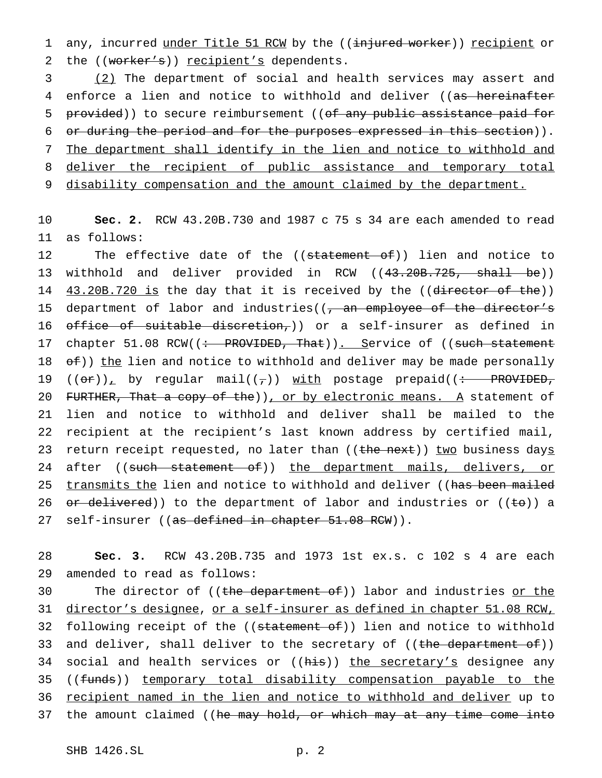1 any, incurred under Title 51 RCW by the ((injured worker)) recipient or 2 the ((worker's)) recipient's dependents.

3 (2) The department of social and health services may assert and 4 enforce a lien and notice to withhold and deliver ((as hereinafter 5 provided)) to secure reimbursement ((of any public assistance paid for 6 or during the period and for the purposes expressed in this section)). 7 The department shall identify in the lien and notice to withhold and 8 deliver the recipient of public assistance and temporary total 9 disability compensation and the amount claimed by the department.

10 **Sec. 2.** RCW 43.20B.730 and 1987 c 75 s 34 are each amended to read 11 as follows:

12 The effective date of the ((statement of)) lien and notice to 13 withhold and deliver provided in RCW ((43.20B.725, shall be)) 14 43.20B.720 is the day that it is received by the ((director of the)) 15 department of labor and industries((, an employee of the director's 16 office of suitable discretion,)) or a self-insurer as defined in 17 chapter 51.08 RCW((: PROVIDED, That)). Service of ((such statement 18  $\sigma$ f)) the lien and notice to withhold and deliver may be made personally 19  $((or))_+$  by regular mail $((\tau))$  with postage prepaid $((\div -$  PROVIDED, 20 FURTHER, That a copy of the)), or by electronic means. A statement of 21 lien and notice to withhold and deliver shall be mailed to the 22 recipient at the recipient's last known address by certified mail, 23 return receipt requested, no later than ((the next)) two business days 24 after ((such statement of)) the department mails, delivers, or 25 transmits the lien and notice to withhold and deliver ((has been mailed 26  $\sigma$  delivered)) to the department of labor and industries or ((to)) a 27 self-insurer ((<del>as defined in chapter 51.08 RCW</del>)).

28 **Sec. 3.** RCW 43.20B.735 and 1973 1st ex.s. c 102 s 4 are each 29 amended to read as follows:

30 The director of ((the department of)) labor and industries <u>or the</u> 31 director's designee, or a self-insurer as defined in chapter 51.08 RCW, 32 following receipt of the ((statement of)) lien and notice to withhold 33 and deliver, shall deliver to the secretary of ((the department of)) 34 social and health services or ((his)) the secretary's designee any 35 ((funds)) temporary total disability compensation payable to the 36 recipient named in the lien and notice to withhold and deliver up to 37 the amount claimed ((he may hold, or which may at any time come into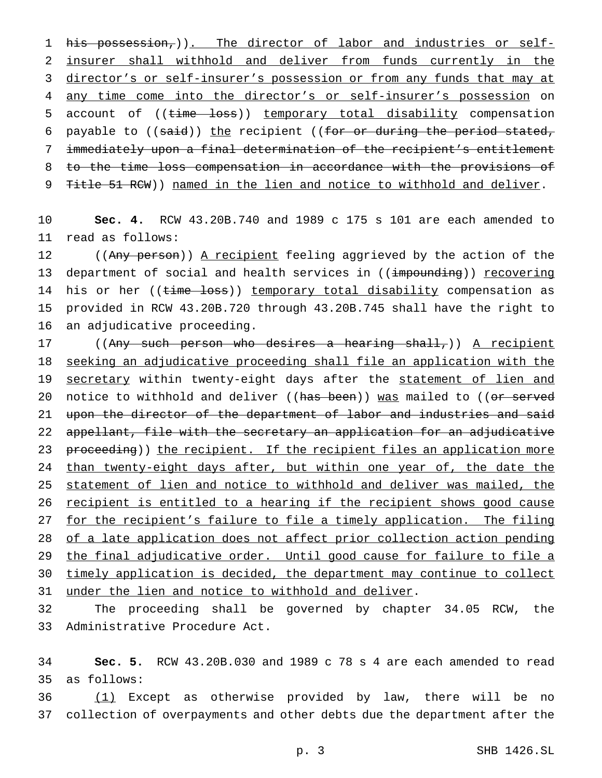1 his possession, (). The director of labor and industries or self- insurer shall withhold and deliver from funds currently in the director's or self-insurer's possession or from any funds that may at 4 any time come into the director's or self-insurer's possession on 5 account of ((time loss)) temporary total disability compensation 6 payable to  $((\text{said}))$  the recipient  $((\text{for or during the period stated},$  immediately upon a final determination of the recipient's entitlement to the time loss compensation in accordance with the provisions of 9 Title 51 RCW)) named in the lien and notice to withhold and deliver.

 **Sec. 4.** RCW 43.20B.740 and 1989 c 175 s 101 are each amended to read as follows:

12 ((Any person)) A recipient feeling aggrieved by the action of the 13 department of social and health services in ((impounding)) recovering 14 his or her ((time loss)) temporary total disability compensation as provided in RCW 43.20B.720 through 43.20B.745 shall have the right to an adjudicative proceeding.

17 ((Any such person who desires a hearing shall,)) <u>A recipient</u> seeking an adjudicative proceeding shall file an application with the secretary within twenty-eight days after the statement of lien and 20 notice to withhold and deliver ((has been)) was mailed to ((or served 21 upon the director of the department of labor and industries and said appellant, file with the secretary an application for an adjudicative 23 proceeding)) the recipient. If the recipient files an application more 24 than twenty-eight days after, but within one year of, the date the statement of lien and notice to withhold and deliver was mailed, the recipient is entitled to a hearing if the recipient shows good cause for the recipient's failure to file a timely application. The filing of a late application does not affect prior collection action pending the final adjudicative order. Until good cause for failure to file a timely application is decided, the department may continue to collect under the lien and notice to withhold and deliver.

 The proceeding shall be governed by chapter 34.05 RCW, the Administrative Procedure Act.

 **Sec. 5.** RCW 43.20B.030 and 1989 c 78 s 4 are each amended to read as follows:

36  $(1)$  Except as otherwise provided by law, there will be no collection of overpayments and other debts due the department after the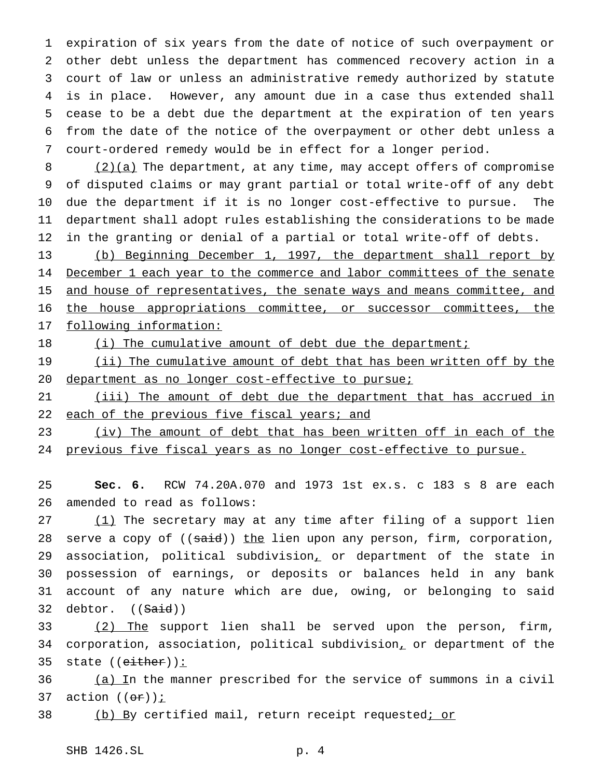expiration of six years from the date of notice of such overpayment or other debt unless the department has commenced recovery action in a court of law or unless an administrative remedy authorized by statute is in place. However, any amount due in a case thus extended shall cease to be a debt due the department at the expiration of ten years from the date of the notice of the overpayment or other debt unless a court-ordered remedy would be in effect for a longer period.

8 (2)(a) The department, at any time, may accept offers of compromise of disputed claims or may grant partial or total write-off of any debt due the department if it is no longer cost-effective to pursue. The department shall adopt rules establishing the considerations to be made in the granting or denial of a partial or total write-off of debts.

13 (b) Beginning December 1, 1997, the department shall report by 14 December 1 each year to the commerce and labor committees of the senate 15 and house of representatives, the senate ways and means committee, and 16 the house appropriations committee, or successor committees, the 17 following information:

18 (i) The cumulative amount of debt due the department;

19 (ii) The cumulative amount of debt that has been written off by the 20 department as no longer cost-effective to pursue;

21 (iii) The amount of debt due the department that has accrued in 22 each of the previous five fiscal years; and

23 (iv) The amount of debt that has been written off in each of the 24 previous five fiscal years as no longer cost-effective to pursue.

25 **Sec. 6.** RCW 74.20A.070 and 1973 1st ex.s. c 183 s 8 are each 26 amended to read as follows:

 (1) The secretary may at any time after filing of a support lien 28 serve a copy of ((said)) the lien upon any person, firm, corporation, association, political subdivision, or department of the state in possession of earnings, or deposits or balances held in any bank account of any nature which are due, owing, or belonging to said 32 debtor. ((Said))

33 (2) The support lien shall be served upon the person, firm, 34 corporation, association, political subdivision, or department of the 35 state ((either)):

36 (a) In the manner prescribed for the service of summons in a civil 37 action  $((\theta \cdot \vec{r}))$  *i* 

38 (b) By certified mail, return receipt requested<u>; or</u>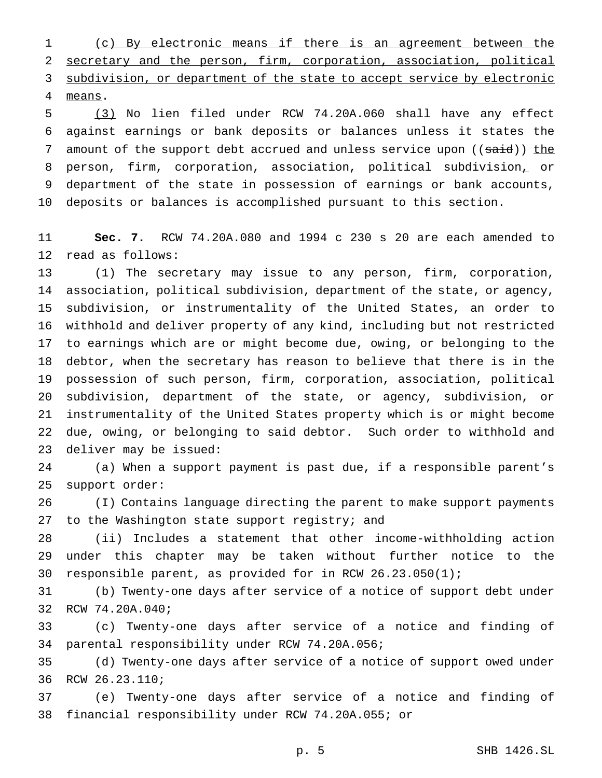(c) By electronic means if there is an agreement between the secretary and the person, firm, corporation, association, political 3 subdivision, or department of the state to accept service by electronic means.

 (3) No lien filed under RCW 74.20A.060 shall have any effect against earnings or bank deposits or balances unless it states the 7 amount of the support debt accrued and unless service upon ((said)) the person, firm, corporation, association, political subdivision, or department of the state in possession of earnings or bank accounts, deposits or balances is accomplished pursuant to this section.

 **Sec. 7.** RCW 74.20A.080 and 1994 c 230 s 20 are each amended to read as follows:

 (1) The secretary may issue to any person, firm, corporation, association, political subdivision, department of the state, or agency, subdivision, or instrumentality of the United States, an order to withhold and deliver property of any kind, including but not restricted to earnings which are or might become due, owing, or belonging to the debtor, when the secretary has reason to believe that there is in the possession of such person, firm, corporation, association, political subdivision, department of the state, or agency, subdivision, or instrumentality of the United States property which is or might become due, owing, or belonging to said debtor. Such order to withhold and deliver may be issued:

 (a) When a support payment is past due, if a responsible parent's support order:

 (I) Contains language directing the parent to make support payments 27 to the Washington state support registry; and

 (ii) Includes a statement that other income-withholding action under this chapter may be taken without further notice to the responsible parent, as provided for in RCW 26.23.050(1);

 (b) Twenty-one days after service of a notice of support debt under RCW 74.20A.040;

 (c) Twenty-one days after service of a notice and finding of parental responsibility under RCW 74.20A.056;

 (d) Twenty-one days after service of a notice of support owed under RCW 26.23.110;

 (e) Twenty-one days after service of a notice and finding of financial responsibility under RCW 74.20A.055; or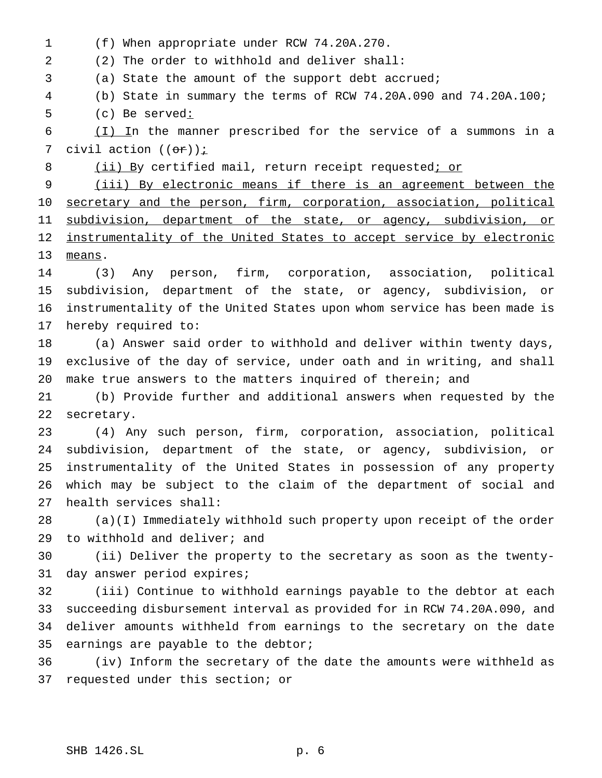(f) When appropriate under RCW 74.20A.270.

(2) The order to withhold and deliver shall:

(a) State the amount of the support debt accrued;

(b) State in summary the terms of RCW 74.20A.090 and 74.20A.100;

(c) Be served:

 (I) In the manner prescribed for the service of a summons in a 7 civil action  $((\theta \hat{r}))$  *i* 

8 (ii) By certified mail, return receipt requested; or

 (iii) By electronic means if there is an agreement between the 10 secretary and the person, firm, corporation, association, political 11 subdivision, department of the state, or agency, subdivision, or 12 instrumentality of the United States to accept service by electronic means.

 (3) Any person, firm, corporation, association, political subdivision, department of the state, or agency, subdivision, or instrumentality of the United States upon whom service has been made is hereby required to:

 (a) Answer said order to withhold and deliver within twenty days, exclusive of the day of service, under oath and in writing, and shall make true answers to the matters inquired of therein; and

 (b) Provide further and additional answers when requested by the secretary.

 (4) Any such person, firm, corporation, association, political subdivision, department of the state, or agency, subdivision, or instrumentality of the United States in possession of any property which may be subject to the claim of the department of social and health services shall:

 (a)(I) Immediately withhold such property upon receipt of the order to withhold and deliver; and

 (ii) Deliver the property to the secretary as soon as the twenty-day answer period expires;

 (iii) Continue to withhold earnings payable to the debtor at each succeeding disbursement interval as provided for in RCW 74.20A.090, and deliver amounts withheld from earnings to the secretary on the date earnings are payable to the debtor;

 (iv) Inform the secretary of the date the amounts were withheld as requested under this section; or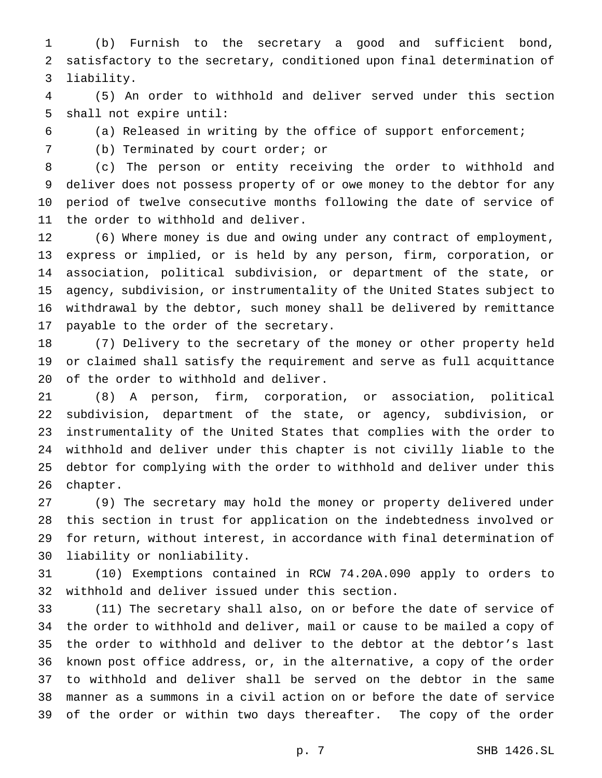(b) Furnish to the secretary a good and sufficient bond, satisfactory to the secretary, conditioned upon final determination of liability.

 (5) An order to withhold and deliver served under this section shall not expire until:

(a) Released in writing by the office of support enforcement;

(b) Terminated by court order; or

 (c) The person or entity receiving the order to withhold and deliver does not possess property of or owe money to the debtor for any period of twelve consecutive months following the date of service of the order to withhold and deliver.

 (6) Where money is due and owing under any contract of employment, express or implied, or is held by any person, firm, corporation, or association, political subdivision, or department of the state, or agency, subdivision, or instrumentality of the United States subject to withdrawal by the debtor, such money shall be delivered by remittance payable to the order of the secretary.

 (7) Delivery to the secretary of the money or other property held or claimed shall satisfy the requirement and serve as full acquittance of the order to withhold and deliver.

 (8) A person, firm, corporation, or association, political subdivision, department of the state, or agency, subdivision, or instrumentality of the United States that complies with the order to withhold and deliver under this chapter is not civilly liable to the debtor for complying with the order to withhold and deliver under this chapter.

 (9) The secretary may hold the money or property delivered under this section in trust for application on the indebtedness involved or for return, without interest, in accordance with final determination of liability or nonliability.

 (10) Exemptions contained in RCW 74.20A.090 apply to orders to withhold and deliver issued under this section.

 (11) The secretary shall also, on or before the date of service of the order to withhold and deliver, mail or cause to be mailed a copy of the order to withhold and deliver to the debtor at the debtor's last known post office address, or, in the alternative, a copy of the order to withhold and deliver shall be served on the debtor in the same manner as a summons in a civil action on or before the date of service of the order or within two days thereafter. The copy of the order